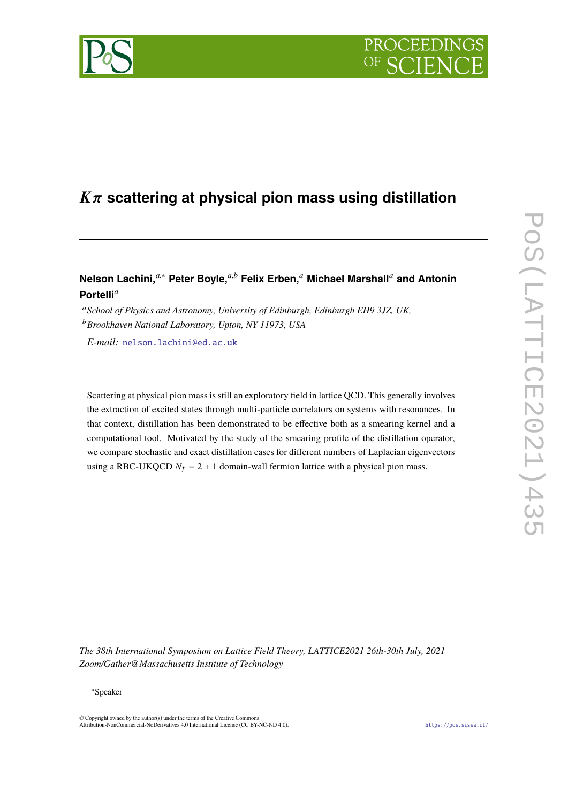# **PROCEEDI**

## <sup>K</sup>π **scattering at physical pion mass using distillation**

### **Nelson Lachini,***a*,<sup>∗</sup> **Peter Boyle,***a*,*<sup>b</sup>* **Felix Erben,***<sup>a</sup>* **Michael Marshall***<sup>a</sup>* **and Antonin Portelli***<sup>a</sup>*

<sup>a</sup>*School of Physics and Astronomy, University of Edinburgh, Edinburgh EH9 3JZ, UK,* <sup>b</sup>*Brookhaven National Laboratory, Upton, NY 11973, USA*

*E-mail:* [nelson.lachini@ed.ac.uk](mailto:nelson.lachini@ed.ac.uk)

Scattering at physical pion mass is still an exploratory field in lattice QCD. This generally involves the extraction of excited states through multi-particle correlators on systems with resonances. In that context, distillation has been demonstrated to be effective both as a smearing kernel and a computational tool. Motivated by the study of the smearing profile of the distillation operator, we compare stochastic and exact distillation cases for different numbers of Laplacian eigenvectors using a RBC-UKQCD  $N_f = 2 + 1$  domain-wall fermion lattice with a physical pion mass.

*The 38th International Symposium on Lattice Field Theory, LATTICE2021 26th-30th July, 2021 Zoom/Gather@Massachusetts Institute of Technology*

© Copyright owned by the author(s) under the terms of the Creative Common Attribution-NonCommercial-NoDerivatives 4.0 International License (CC BY-NC-ND 4.0). <https://pos.sissa.it/>

<sup>∗</sup>Speaker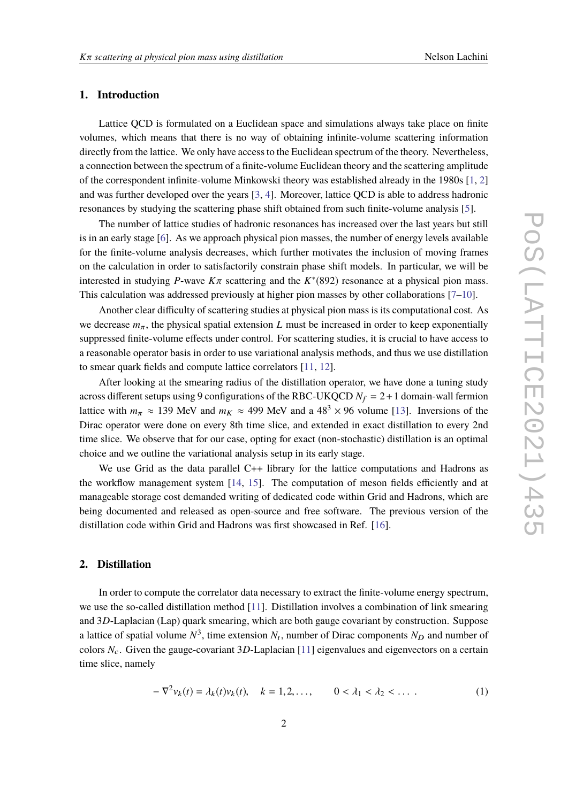#### **1. Introduction**

Lattice QCD is formulated on a Euclidean space and simulations always take place on finite volumes, which means that there is no way of obtaining infinite-volume scattering information directly from the lattice. We only have access to the Euclidean spectrum of the theory. Nevertheless, a connection between the spectrum of a finite-volume Euclidean theory and the scattering amplitude of the correspondent infinite-volume Minkowski theory was established already in the 1980s [\[1,](#page-9-0) [2\]](#page-9-1) and was further developed over the years [\[3,](#page-9-2) [4\]](#page-9-3). Moreover, lattice QCD is able to address hadronic resonances by studying the scattering phase shift obtained from such finite-volume analysis [\[5\]](#page-9-4).

The number of lattice studies of hadronic resonances has increased over the last years but still is in an early stage [\[6\]](#page-9-5). As we approach physical pion masses, the number of energy levels available for the finite-volume analysis decreases, which further motivates the inclusion of moving frames on the calculation in order to satisfactorily constrain phase shift models. In particular, we will be interested in studying *P*-wave  $K\pi$  scattering and the  $K^*(892)$  resonance at a physical pion mass.<br>This calculation was addressed proviously at higher pion masses by other callsborations [7, 10] This calculation was addressed previously at higher pion masses by other collaborations [\[7](#page-9-6)[–10\]](#page-10-0).

Another clear difficulty of scattering studies at physical pion mass is its computational cost. As we decrease  $m_{\pi}$ , the physical spatial extension *L* must be increased in order to keep exponentially suppressed finite-volume effects under control. For scattering studies, it is crucial to have access to a reasonable operator basis in order to use variational analysis methods, and thus we use distillation to smear quark fields and compute lattice correlators [\[11,](#page-10-1) [12\]](#page-10-2).

After looking at the smearing radius of the distillation operator, we have done a tuning study across different setups using 9 configurations of the RBC-UKQCD  $N_f = 2 + 1$  domain-wall fermion lattice with  $m_{\pi} \approx 139$  MeV and  $m_K \approx 499$  MeV and a  $48^3 \times 96$  volume [\[13\]](#page-10-3). Inversions of the Dirac operator were done on every 8th time slice, and extended in exact distillation to every 2nd time slice. We observe that for our case, opting for exact (non-stochastic) distillation is an optimal choice and we outline the variational analysis setup in its early stage.

We use Grid as the data parallel C++ library for the lattice computations and Hadrons as the workflow management system [\[14,](#page-10-4) [15\]](#page-10-5). The computation of meson fields efficiently and at manageable storage cost demanded writing of dedicated code within Grid and Hadrons, which are being documented and released as open-source and free software. The previous version of the distillation code within Grid and Hadrons was first showcased in Ref. [\[16\]](#page-10-6).

#### **2. Distillation**

In order to compute the correlator data necessary to extract the finite-volume energy spectrum, we use the so-called distillation method [\[11\]](#page-10-1). Distillation involves a combination of link smearing and 3*D*-Laplacian (Lap) quark smearing, which are both gauge covariant by construction. Suppose a lattice of spatial volume  $N^3$ , time extension  $N_t$ , number of Dirac components  $N_D$  and number of colors  $N_c$ . Given the gauge-covariant 3D-Laplacian [\[11\]](#page-10-1) eigenvalues and eigenvectors on a certain time slice, namely

$$
-\nabla^2 v_k(t) = \lambda_k(t)v_k(t), \quad k = 1, 2, ..., \qquad 0 < \lambda_1 < \lambda_2 < ... \tag{1}
$$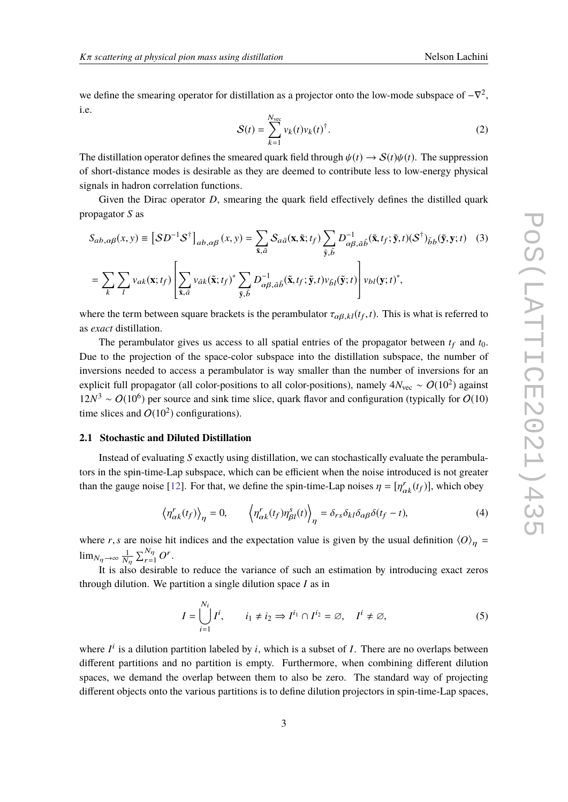we define the smearing operator for distillation as a projector onto the low-mode subspace of  $-\nabla^2$ , i.e.

<span id="page-2-0"></span>
$$
S(t) = \sum_{k=1}^{N_{\text{vec}}} v_k(t) v_k(t)^{\dagger}.
$$
 (2)

The distillation operator defines the smeared quark field through  $\psi(t) \to S(t)\psi(t)$ . The suppression of short-distance modes is desirable as they are deemed to contribute less to low-energy physical signals in hadron correlation functions.

Given the Dirac operator *D*, smearing the quark field effectively defines the distilled quark propagator *S* as

$$
S_{ab,\alpha\beta}(x,y) \equiv \left[ SD^{-1}S^{\dagger} \right]_{ab,\alpha\beta}(x,y) = \sum_{\tilde{\mathbf{x}},\tilde{a}} S_{a\tilde{a}}(\mathbf{x}, \tilde{\mathbf{x}}; t_{f}) \sum_{\tilde{\mathbf{y}},\tilde{b}} D^{-1}_{\alpha\beta,\tilde{a}\tilde{b}}(\tilde{\mathbf{x}}, t_{f}; \tilde{\mathbf{y}}, t)(S^{\dagger})_{\tilde{b}b}(\tilde{\mathbf{y}}, \mathbf{y}; t) \tag{3}
$$

$$
= \sum_{k} \sum_{l} v_{ak}(\mathbf{x}; t_{f}) \left[ \sum_{\tilde{\mathbf{x}},\tilde{a}} v_{\tilde{a}k}(\tilde{\mathbf{x}}; t_{f})^{*} \sum_{\tilde{\mathbf{y}},\tilde{b}} D^{-1}_{\alpha\beta,\tilde{a}\tilde{b}}(\tilde{\mathbf{x}}, t_{f}; \tilde{\mathbf{y}}, t) v_{\tilde{b}l}(\tilde{\mathbf{y}}; t) \right] v_{bl}(\mathbf{y}; t)^{*},
$$

where the term between square brackets is the perambulator  $\tau_{\alpha\beta,kl}(t_f,t)$ . This is what is referred to  $\alpha$  and distillation as *exact* distillation.

The perambulator gives us access to all spatial entries of the propagator between  $t_f$  and  $t_0$ . Due to the projection of the space-color subspace into the distillation subspace, the number of inversions needed to access a perambulator is way smaller than the number of inversions for an explicit full propagator (all color-positions to all color-positions), namely 4 $N_{\rm vec}\sim O(10^2)$  against  $12N^3 \sim O(10^6)$  per source and sink time slice, quark flavor and configuration (typically for  $O(10)$ ) time slices and  $O(10^2)$  configurations).

#### **2.1 Stochastic and Diluted Distillation**

Instead of evaluating *S* exactly using distillation, we can stochastically evaluate the perambulators in the spin-time-Lap subspace, which can be efficient when the noise introduced is not greater than the gauge noise [\[12\]](#page-10-2). For that, we define the spin-time-Lap noises  $\eta = [\eta_{\alpha k}^r(t_f)]$ , which obey

$$
\left\langle \eta_{\alpha k}^r(t_f) \right\rangle_{\eta} = 0, \qquad \left\langle \eta_{\alpha k}^r(t_f) \eta_{\beta l}^s(t) \right\rangle_{\eta} = \delta_{rs} \delta_{kl} \delta_{\alpha \beta} \delta(t_f - t), \tag{4}
$$

where *r*,*s* are noise hit indices and the expectation value is given by the usual definition  $\langle O \rangle_n$  =  $\lim_{N_{\eta} \to \infty} \frac{1}{N_{\eta}}$  $\sum_{r=1}^{N_{\eta}} O^r.$ 

It is also desirable to reduce the variance of such an estimation by introducing exact zeros through dilution. We partition a single dilution space *I* as in

$$
I = \bigcup_{i=1}^{N_i} I^i, \qquad i_1 \neq i_2 \Rightarrow I^{i_1} \cap I^{i_2} = \varnothing, \quad I^i \neq \varnothing,
$$
 (5)

where  $I^i$  is a dilution partition labeled by *i*, which is a subset of *I*. There are no overlaps between different partitions and no partition is empty. Furthermore, when combining different dilution spaces, we demand the overlap between them to also be zero. The standard way of projecting different objects onto the various partitions is to define dilution projectors in spin-time-Lap spaces,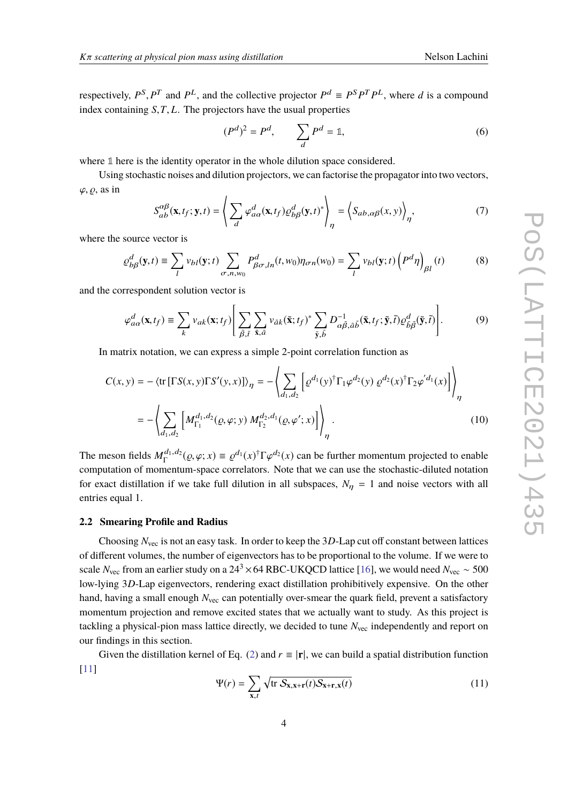respectively,  $P^S$ ,  $P^T$  and  $P^L$ , and the collective projector  $P^d \equiv P^S P^T P^L$ , where *d* is a compound index containing *<sup>S</sup>*,*T*, *<sup>L</sup>*. The projectors have the usual properties

$$
(Pd)2 = Pd, \qquad \sum_{d} Pd = \mathbb{1}, \tag{6}
$$

where **1** here is the identity operator in the whole dilution space considered.

Using stochastic noises and dilution projectors, we can factorise the propagator into two vectors,  $\varphi$ ,  $\varrho$ , as in

$$
S_{ab}^{\alpha\beta}(\mathbf{x}, t_f; \mathbf{y}, t) = \left\langle \sum_d \varphi_{a\alpha}^d(\mathbf{x}, t_f) \varrho_{b\beta}^d(\mathbf{y}, t)^* \right\rangle_{\eta} = \left\langle S_{ab, \alpha\beta}(x, y) \right\rangle_{\eta'}, \tag{7}
$$

where the source vector is

$$
\rho_{b\beta}^d(\mathbf{y},t) \equiv \sum_l v_{bl}(\mathbf{y};t) \sum_{\sigma,n,w_0} P_{\beta\sigma,ln}^d(t,w_0) \eta_{\sigma n}(w_0) = \sum_l v_{bl}(\mathbf{y};t) \left(P^d \eta\right)_{\beta l}(t) \tag{8}
$$

and the correspondent solution vector is

<span id="page-3-0"></span>
$$
\varphi_{a\alpha}^{d}(\mathbf{x},t_{f}) \equiv \sum_{k} v_{a k}(\mathbf{x};t_{f}) \Bigg[ \sum_{\tilde{\beta},\tilde{t}} \sum_{\tilde{\mathbf{x}},\tilde{a}} v_{\tilde{a} k}(\tilde{\mathbf{x}};t_{f})^{*} \sum_{\tilde{\mathbf{y}},\tilde{b}} D_{\alpha\tilde{\beta},\tilde{a}\tilde{b}}^{-1}(\tilde{\mathbf{x}},t_{f};\tilde{\mathbf{y}},\tilde{t}) \mathcal{Q}_{\tilde{b}\tilde{\beta}}^{d}(\tilde{\mathbf{y}},\tilde{t}) \Bigg]. \tag{9}
$$

In matrix notation, we can express a simple 2-point correlation function as

$$
C(x, y) = -\langle \text{tr} \left[ \Gamma S(x, y) \Gamma S'(y, x) \right] \rangle_{\eta} = -\langle \sum_{d_1, d_2} \left[ \varrho^{d_1}(y)^{\dagger} \Gamma_1 \varphi^{d_2}(y) \varrho^{d_2}(x)^{\dagger} \Gamma_2 \varphi'^{d_1}(x) \right] \rangle_{\eta}
$$
  
= 
$$
-\langle \sum_{d_1, d_2} \left[ M_{\Gamma_1}^{d_1, d_2}(\varrho, \varphi; y) M_{\Gamma_2}^{d_2, d_1}(\varrho, \varphi'; x) \right] \rangle_{\eta}.
$$
 (10)

The meson fields  $M_{\Gamma}^{d_1, d_2}(\rho, \varphi; x) \equiv \rho^{d_1}(x)^{\dagger} \Gamma \varphi^{d_2}(x)$  can be further momentum projected to enable computation of momentum-space correlators. Note that we can use the stochastic-diluted notation for exact distillation if we take full dilution in all subspaces,  $N_{\eta} = 1$  and noise vectors with all entries equal 1.

#### **2.2 Smearing Profile and Radius**

Choosing *N*vec is not an easy task. In order to keep the 3*D*-Lap cut off constant between lattices of different volumes, the number of eigenvectors has to be proportional to the volume. If we were to scale *N*<sub>vec</sub> from an earlier study on a 24<sup>3</sup> × 64 RBC-UKQCD lattice [\[16\]](#page-10-6), we would need  $N_{\text{vec}} \sim 500$ low-lying 3*D*-Lap eigenvectors, rendering exact distillation prohibitively expensive. On the other hand, having a small enough *N*<sub>vec</sub> can potentially over-smear the quark field, prevent a satisfactory momentum projection and remove excited states that we actually want to study. As this project is tackling a physical-pion mass lattice directly, we decided to tune N<sub>vec</sub> independently and report on our findings in this section.

Given the distillation kernel of Eq. [\(2\)](#page-2-0) and  $r \equiv |\mathbf{r}|$ , we can build a spatial distribution function [\[11\]](#page-10-1)

$$
\Psi(r) = \sum_{\mathbf{x},t} \sqrt{\text{tr } \mathcal{S}_{\mathbf{x},\mathbf{x}+\mathbf{r}}(t) \mathcal{S}_{\mathbf{x}+\mathbf{r},\mathbf{x}}(t)} \tag{11}
$$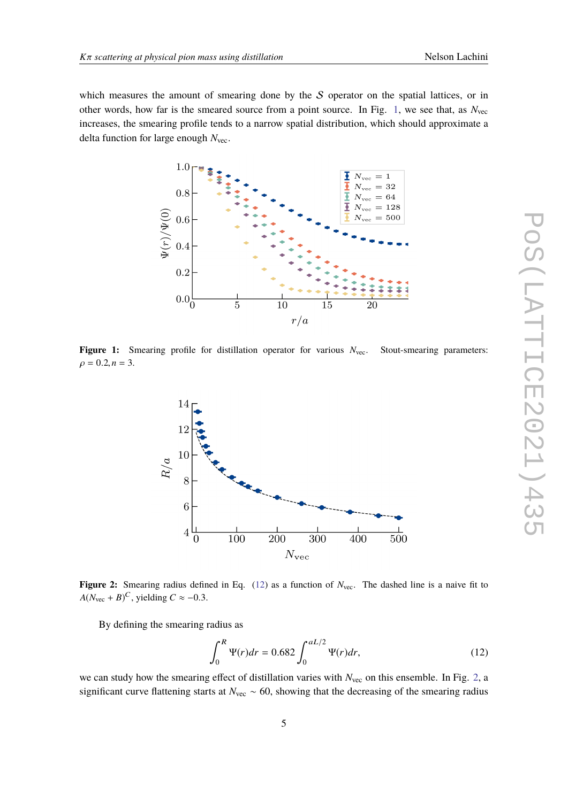<span id="page-4-0"></span>which measures the amount of smearing done by the  $S$  operator on the spatial lattices, or in other words, how far is the smeared source from a point source. In Fig. [1,](#page-4-0) we see that, as *N*vec increases, the smearing profile tends to a narrow spatial distribution, which should approximate a delta function for large enough *N*vec.



<span id="page-4-2"></span>Figure 1: Smearing profile for distillation operator for various  $N_{\text{vec}}$ . Stout-smearing parameters:  $\rho = 0.2, n = 3.$ 



Figure 2: Smearing radius defined in Eq. [\(12\)](#page-4-1) as a function of  $N_{\text{vec}}$ . The dashed line is a naive fit to  $A(N_{\text{vec}} + B)^C$ , yielding  $C \approx -0.3$ .

By defining the smearing radius as

<span id="page-4-1"></span>
$$
\int_0^R \Psi(r)dr = 0.682 \int_0^{aL/2} \Psi(r)dr,
$$
\n(12)

we can study how the smearing effect of distillation varies with  $N_{\text{vec}}$  on this ensemble. In Fig. [2,](#page-4-2) a significant curve flattening starts at *N*<sub>vec</sub> ~ 60, showing that the decreasing of the smearing radius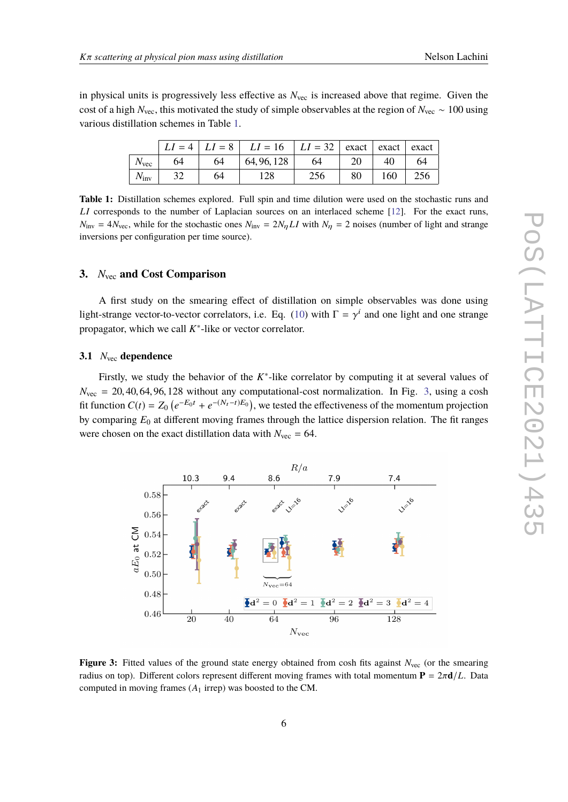<span id="page-5-0"></span>in physical units is progressively less effective as  $N_{\text{vec}}$  is increased above that regime. Given the cost of a high *N*vec, this motivated the study of simple observables at the region of *N*vec ∼ 100 using various distillation schemes in Table [1.](#page-5-0)

|               |    |    | $LI = 4   LI = 8   LI = 16   LI = 32   exact   exact$ |     |    |     |     |
|---------------|----|----|-------------------------------------------------------|-----|----|-----|-----|
| $N_{\rm vec}$ | 64 | 64 | 64, 96, 128                                           | 64  |    | 40  | 64  |
| $N_{\rm inv}$ |    | 64 | 128                                                   | 256 | 80 | 160 | 256 |

**Table 1:** Distillation schemes explored. Full spin and time dilution were used on the stochastic runs and *LI* corresponds to the number of Laplacian sources on an interlaced scheme [\[12\]](#page-10-2). For the exact runs,  $N_{\text{inv}} = 4N_{\text{vec}}$ , while for the stochastic ones  $N_{\text{inv}} = 2N_{\eta}LI$  with  $N_{\eta} = 2$  noises (number of light and strange inversions per configuration per time source).

#### **3.** *N*vec **and Cost Comparison**

A first study on the smearing effect of distillation on simple observables was done using light-strange vector-to-vector correlators, i.e. Eq. [\(10\)](#page-3-0) with  $\Gamma = \gamma^i$  and one light and one strange propagator, which we call  $K^*$ -like or vector correlator.

#### **3.1** *N*vec **dependence**

Firstly, we study the behavior of the *K*<sup>\*</sup>-like correlator by computing it at several values of  $N_{\text{vec}} = 20, 40, 64, 96, 128$  without any computational-cost normalization. In Fig. [3,](#page-5-1) using a cosh fit function  $C(t) = Z_0 \left( e^{-E_0 t} + e^{-(N_t - t)E_0} \right)$ , we tested the effectiveness of the momentum projection by comparing *E*<sup>0</sup> at different moving frames through the lattice dispersion relation. The fit ranges were chosen on the exact distillation data with  $N_{\text{vec}} = 64$ .

<span id="page-5-1"></span>

**Figure 3:** Fitted values of the ground state energy obtained from cosh fits against  $N_{\text{vec}}$  (or the smearing radius on top). Different colors represent different moving frames with total momentum  $P = 2\pi d/L$ . Data computed in moving frames (*A*<sup>1</sup> irrep) was boosted to the CM.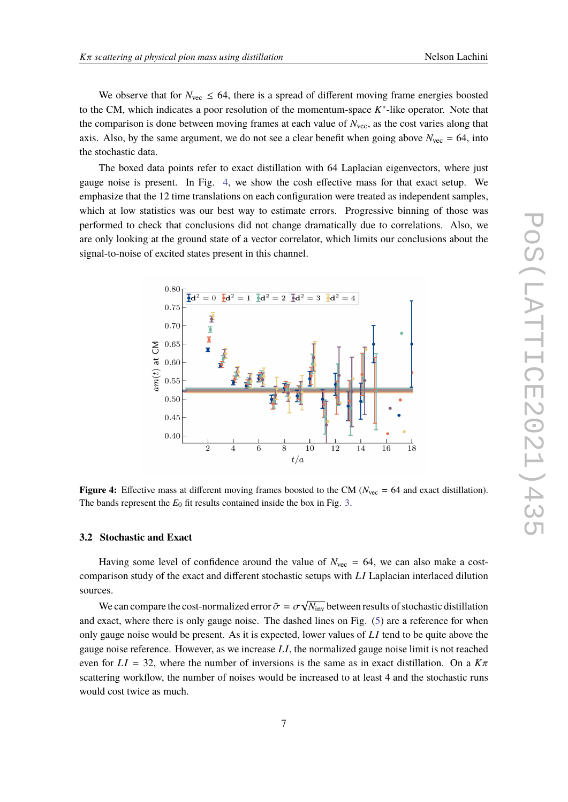We observe that for  $N_{\text{vec}} \leq 64$ , there is a spread of different moving frame energies boosted to the CM, which indicates a poor resolution of the momentum-space *K*<sup>\*</sup>-like operator. Note that the comparison is done between moving frames at each value of  $N_{\text{vec}}$ , as the cost varies along that axis. Also, by the same argument, we do not see a clear benefit when going above  $N_{\text{vec}} = 64$ , into the stochastic data.

The boxed data points refer to exact distillation with 64 Laplacian eigenvectors, where just gauge noise is present. In Fig. [4,](#page-6-0) we show the cosh effective mass for that exact setup. We emphasize that the 12 time translations on each configuration were treated as independent samples, which at low statistics was our best way to estimate errors. Progressive binning of those was performed to check that conclusions did not change dramatically due to correlations. Also, we are only looking at the ground state of a vector correlator, which limits our conclusions about the signal-to-noise of excited states present in this channel.

<span id="page-6-0"></span>

**Figure 4:** Effective mass at different moving frames boosted to the CM ( $N_{\text{vec}} = 64$  and exact distillation). The bands represent the  $E_0$  fit results contained inside the box in Fig. [3.](#page-5-1)

#### **3.2 Stochastic and Exact**

Having some level of confidence around the value of  $N_{\text{vec}} = 64$ , we can also make a costcomparison study of the exact and different stochastic setups with *L I* Laplacian interlaced dilution sources. √

We can compare the cost-normalized error  $\tilde{\sigma} = \sigma$ <br>suces where there is only gauge noise. The dock  $\overline{N_{\rm inv}}$  between results of stochastic distillation and exact, where there is only gauge noise. The dashed lines on Fig. [\(5\)](#page-7-0) are a reference for when only gauge noise would be present. As it is expected, lower values of *L I* tend to be quite above the gauge noise reference. However, as we increase *L I*, the normalized gauge noise limit is not reached even for  $LI = 32$ , where the number of inversions is the same as in exact distillation. On a  $K\pi$ scattering workflow, the number of noises would be increased to at least 4 and the stochastic runs would cost twice as much.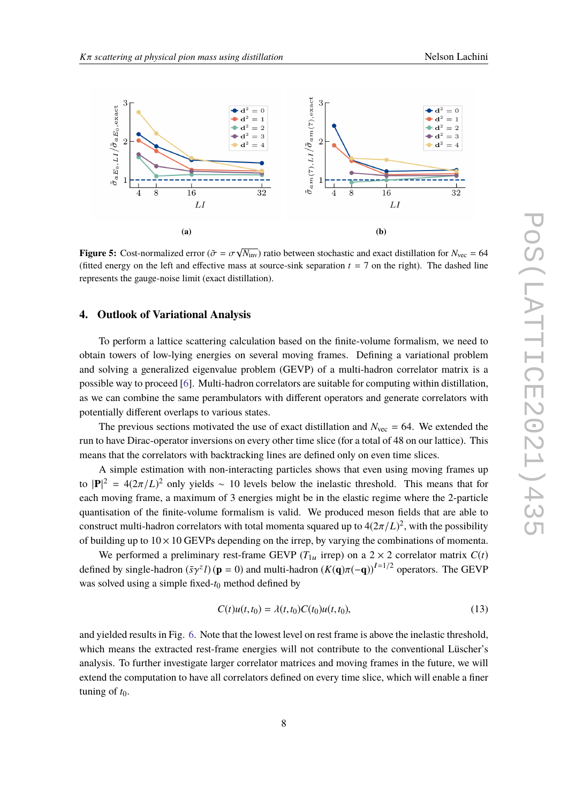<span id="page-7-0"></span>

**Figure 5:** Cost-normalized error ( $\tilde{\sigma} = \sigma$ )<br>(fitted energy on the left and effective m  $\overline{N_{\text{inv}}}$ ) ratio between stochastic and exact distillation for  $N_{\text{vec}} = 64$ (fitted energy on the left and effective mass at source-sink separation  $t = 7$  on the right). The dashed line represents the gauge-noise limit (exact distillation).

#### **4. Outlook of Variational Analysis**

To perform a lattice scattering calculation based on the finite-volume formalism, we need to obtain towers of low-lying energies on several moving frames. Defining a variational problem and solving a generalized eigenvalue problem (GEVP) of a multi-hadron correlator matrix is a possible way to proceed [\[6\]](#page-9-5). Multi-hadron correlators are suitable for computing within distillation, as we can combine the same perambulators with different operators and generate correlators with potentially different overlaps to various states.

The previous sections motivated the use of exact distillation and  $N_{\text{vec}} = 64$ . We extended the run to have Dirac-operator inversions on every other time slice (for a total of 48 on our lattice). This means that the correlators with backtracking lines are defined only on even time slices.

A simple estimation with non-interacting particles shows that even using moving frames up to  $|\mathbf{P}|^2 = 4(2\pi/L)^2$  only yields ∼ 10 levels below the inelastic threshold. This means that for each measure frame a measure of 2 consistent has in the election period on the 2 neutral. each moving frame, a maximum of 3 energies might be in the elastic regime where the 2-particle quantisation of the finite-volume formalism is valid. We produced meson fields that are able to construct multi-hadron correlators with total momenta squared up to  $4(2\pi/L)^2$ , with the possibility<br>of hydding up to  $10 \times 10$  CEMPs depending on the ignapily verying the combinations of momenta of building up to  $10 \times 10$  GEVPs depending on the irrep, by varying the combinations of momenta.

We performed a preliminary rest-frame GEVP ( $T_{1u}$  irrep) on a 2  $\times$  2 correlator matrix  $C(t)$ defined by single-hadron  $(\bar{s}\gamma^z l)$  ( $\mathbf{p} = 0$ ) and multi-hadron  $(K(\mathbf{q})\pi(-\mathbf{q}))^{I=1/2}$  operators. The GEVP was solved using a simple fixed-t<sub>0</sub> method defined by

$$
C(t)u(t,t_0) = \lambda(t,t_0)C(t_0)u(t,t_0),
$$
\n(13)

and yielded results in Fig. [6.](#page-8-0) Note that the lowest level on rest frame is above the inelastic threshold, which means the extracted rest-frame energies will not contribute to the conventional Lüscher's analysis. To further investigate larger correlator matrices and moving frames in the future, we will extend the computation to have all correlators defined on every time slice, which will enable a finer tuning of  $t_0$ .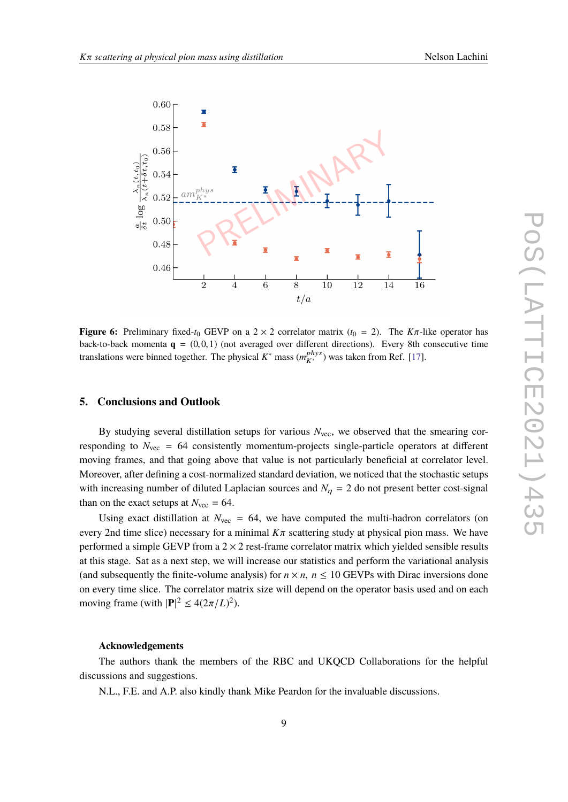<span id="page-8-0"></span>

**Figure 6:** Preliminary fixed- $t_0$  GEVP on a 2  $\times$  2 correlator matrix ( $t_0$  = 2). The  $K\pi$ -like operator has back-to-back momenta  $\mathbf{q} = (0, 0, 1)$  (not averaged over different directions). Every 8th consecutive time translations were binned together. The physical  $K^*$  mass  $(m_{K^*}^{phys})$  was taken from Ref. [\[17\]](#page-10-7).

#### **5. Conclusions and Outlook**

By studying several distillation setups for various  $N_{\text{vec}}$ , we observed that the smearing corresponding to  $N_{\text{vec}} = 64$  consistently momentum-projects single-particle operators at different moving frames, and that going above that value is not particularly beneficial at correlator level. Moreover, after defining a cost-normalized standard deviation, we noticed that the stochastic setups with increasing number of diluted Laplacian sources and  $N_\eta = 2$  do not present better cost-signal than on the exact setups at  $N_{\text{vec}} = 64$ .

Using exact distillation at  $N_{\text{vec}} = 64$ , we have computed the multi-hadron correlators (on every 2nd time slice) necessary for a minimal  $K\pi$  scattering study at physical pion mass. We have performed a simple GEVP from a  $2 \times 2$  rest-frame correlator matrix which yielded sensible results at this stage. Sat as a next step, we will increase our statistics and perform the variational analysis (and subsequently the finite-volume analysis) for  $n \times n$ ,  $n \le 10$  GEVPs with Dirac inversions done on every time slice. The correlator matrix size will depend on the operator basis used and on each moving frame (with  $|\mathbf{P}|^2 \leq 4(2\pi/L)^2$ ).

#### **Acknowledgements**

The authors thank the members of the RBC and UKQCD Collaborations for the helpful discussions and suggestions.

N.L., F.E. and A.P. also kindly thank Mike Peardon for the invaluable discussions.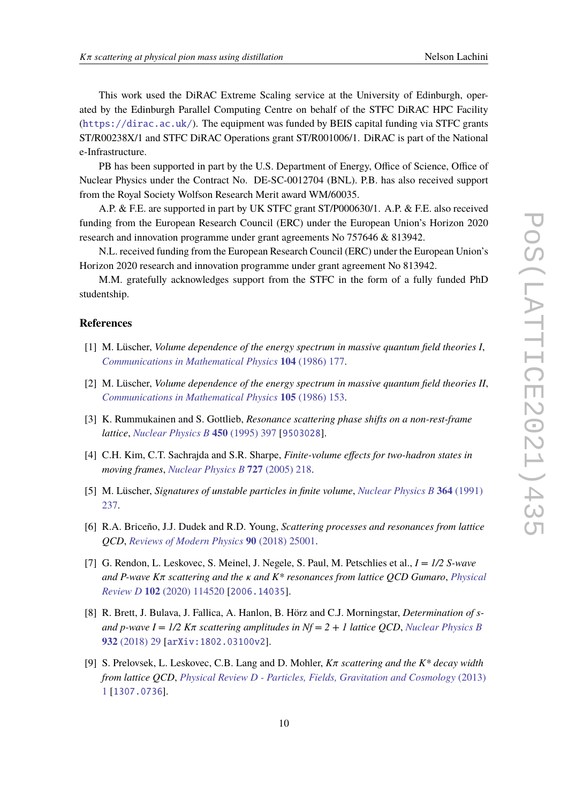This work used the DiRAC Extreme Scaling service at the University of Edinburgh, operated by the Edinburgh Parallel Computing Centre on behalf of the STFC DiRAC HPC Facility (<https://dirac.ac.uk/>). The equipment was funded by BEIS capital funding via STFC grants ST/R00238X/1 and STFC DiRAC Operations grant ST/R001006/1. DiRAC is part of the National e-Infrastructure.

PB has been supported in part by the U.S. Department of Energy, Office of Science, Office of Nuclear Physics under the Contract No. DE-SC-0012704 (BNL). P.B. has also received support from the Royal Society Wolfson Research Merit award WM/60035.

A.P. & F.E. are supported in part by UK STFC grant ST/P000630/1. A.P. & F.E. also received funding from the European Research Council (ERC) under the European Union's Horizon 2020 research and innovation programme under grant agreements No 757646 & 813942.

N.L. received funding from the European Research Council (ERC) under the European Union's Horizon 2020 research and innovation programme under grant agreement No 813942.

M.M. gratefully acknowledges support from the STFC in the form of a fully funded PhD studentship.

#### **References**

- <span id="page-9-0"></span>[1] M. Lüscher, *Volume dependence of the energy spectrum in massive quantum field theories I*, *[Communications in Mathematical Physics](https://doi.org/10.1007/BF01211589)* **104** (1986) 177.
- <span id="page-9-1"></span>[2] M. Lüscher, *Volume dependence of the energy spectrum in massive quantum field theories II*, *[Communications in Mathematical Physics](https://doi.org/10.1007/BF01211097)* **105** (1986) 153.
- <span id="page-9-2"></span>[3] K. Rummukainen and S. Gottlieb, *Resonance scattering phase shifts on a non-rest-frame lattice*, *[Nuclear Physics B](https://doi.org/10.1016/0550-3213(95)00313-H)* **450** (1995) 397 [[9503028](https://arxiv.org/abs/9503028)].
- <span id="page-9-3"></span>[4] C.H. Kim, C.T. Sachrajda and S.R. Sharpe, *Finite-volume effects for two-hadron states in moving frames*, *[Nuclear Physics B](https://doi.org/10.1016/j.nuclphysb.2005.08.029)* **727** (2005) 218.
- <span id="page-9-4"></span>[5] M. Lüscher, *Signatures of unstable particles in finite volume*, *[Nuclear Physics B](https://doi.org/10.1016/0550-3213(91)90584-K)* **364** (1991) [237.](https://doi.org/10.1016/0550-3213(91)90584-K)
- <span id="page-9-5"></span>[6] R.A. Briceño, J.J. Dudek and R.D. Young, *Scattering processes and resonances from lattice QCD*, *[Reviews of Modern Physics](https://doi.org/10.1103/RevModPhys.90.025001)* **90** (2018) 25001.
- <span id="page-9-6"></span>[7] G. Rendon, L. Leskovec, S. Meinel, J. Negele, S. Paul, M. Petschlies et al., *I = 1/2 S-wave and P-wave K*π *scattering and the* κ *and K\* resonances from lattice QCD Gumaro*, *[Physical](https://doi.org/10.1103/PhysRevD.102.114520) Review D* **102** [\(2020\) 114520](https://doi.org/10.1103/PhysRevD.102.114520) [[2006.14035](https://arxiv.org/abs/2006.14035)].
- [8] R. Brett, J. Bulava, J. Fallica, A. Hanlon, B. Hörz and C.J. Morningstar, *Determination of sand p-wave I = 1/2 K*π *scattering amplitudes in Nf = 2 + 1 lattice QCD*, *[Nuclear Physics B](https://doi.org/10.1016/j.nuclphysb.2018.05.008)* **932** [\(2018\) 29](https://doi.org/10.1016/j.nuclphysb.2018.05.008) [[arXiv:1802.03100v2](https://arxiv.org/abs/arXiv:1802.03100v2)].
- [9] S. Prelovsek, L. Leskovec, C.B. Lang and D. Mohler, *<sup>K</sup>*π *scattering and the K\* decay width from lattice QCD*, *[Physical Review D - Particles, Fields, Gravitation and Cosmology](https://doi.org/10.1103/PhysRevD.88.054508)* (2013) [1](https://doi.org/10.1103/PhysRevD.88.054508) [[1307.0736](https://arxiv.org/abs/1307.0736)].